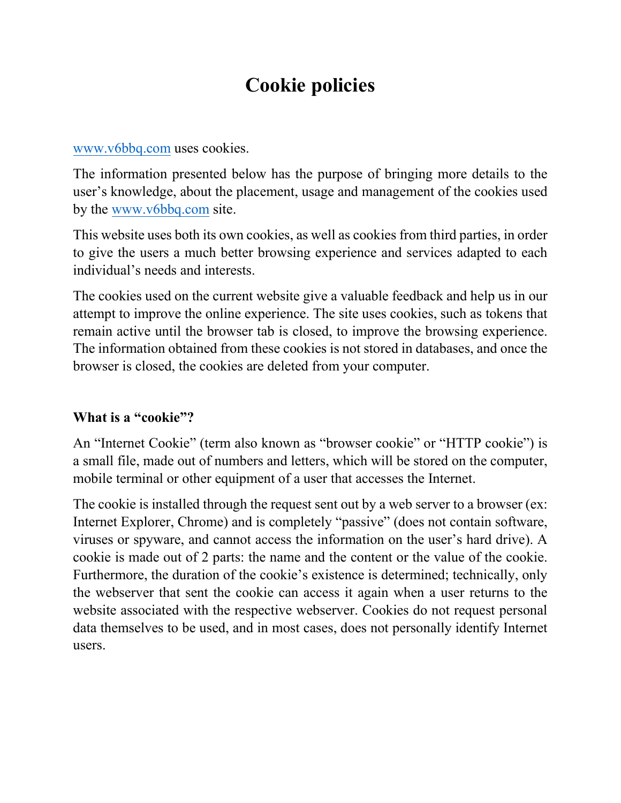# **Cookie policies**

#### [www.v6bbq.com](http://www.v6bbq.com/) uses cookies.

The information presented below has the purpose of bringing more details to the user's knowledge, about the placement, usage and management of the cookies used by the [www.v6bbq.com](http://www.v6bbq.com/) site.

This website uses both its own cookies, as well as cookies from third parties, in order to give the users a much better browsing experience and services adapted to each individual's needs and interests.

The cookies used on the current website give a valuable feedback and help us in our attempt to improve the online experience. The site uses cookies, such as tokens that remain active until the browser tab is closed, to improve the browsing experience. The information obtained from these cookies is not stored in databases, and once the browser is closed, the cookies are deleted from your computer.

#### **What is a "cookie"?**

An "Internet Cookie" (term also known as "browser cookie" or "HTTP cookie") is a small file, made out of numbers and letters, which will be stored on the computer, mobile terminal or other equipment of a user that accesses the Internet.

The cookie is installed through the request sent out by a web server to a browser (ex: Internet Explorer, Chrome) and is completely "passive" (does not contain software, viruses or spyware, and cannot access the information on the user's hard drive). A cookie is made out of 2 parts: the name and the content or the value of the cookie. Furthermore, the duration of the cookie's existence is determined; technically, only the webserver that sent the cookie can access it again when a user returns to the website associated with the respective webserver. Cookies do not request personal data themselves to be used, and in most cases, does not personally identify Internet users.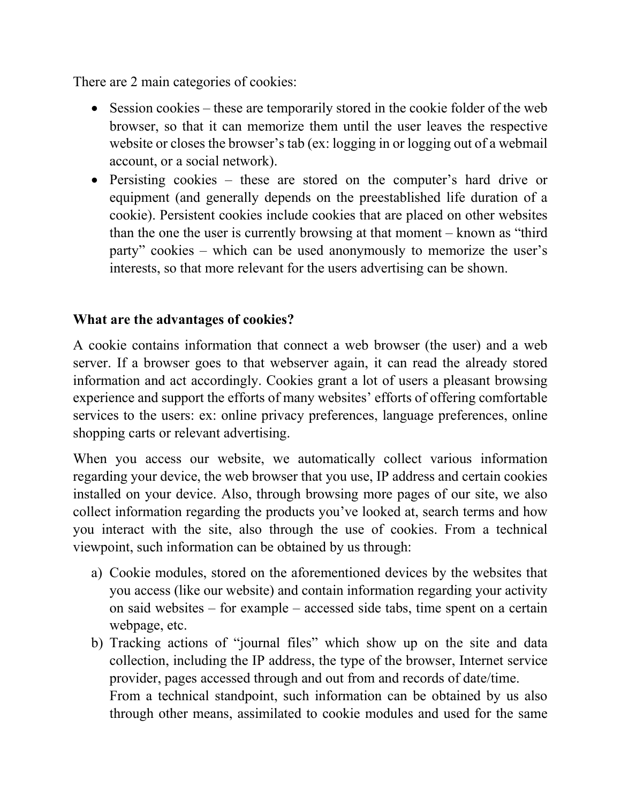There are 2 main categories of cookies:

- Session cookies these are temporarily stored in the cookie folder of the web browser, so that it can memorize them until the user leaves the respective website or closes the browser's tab (ex: logging in or logging out of a webmail account, or a social network).
- Persisting cookies these are stored on the computer's hard drive or equipment (and generally depends on the preestablished life duration of a cookie). Persistent cookies include cookies that are placed on other websites than the one the user is currently browsing at that moment – known as "third party" cookies – which can be used anonymously to memorize the user's interests, so that more relevant for the users advertising can be shown.

#### **What are the advantages of cookies?**

A cookie contains information that connect a web browser (the user) and a web server. If a browser goes to that webserver again, it can read the already stored information and act accordingly. Cookies grant a lot of users a pleasant browsing experience and support the efforts of many websites' efforts of offering comfortable services to the users: ex: online privacy preferences, language preferences, online shopping carts or relevant advertising.

When you access our website, we automatically collect various information regarding your device, the web browser that you use, IP address and certain cookies installed on your device. Also, through browsing more pages of our site, we also collect information regarding the products you've looked at, search terms and how you interact with the site, also through the use of cookies. From a technical viewpoint, such information can be obtained by us through:

- a) Cookie modules, stored on the aforementioned devices by the websites that you access (like our website) and contain information regarding your activity on said websites – for example – accessed side tabs, time spent on a certain webpage, etc.
- b) Tracking actions of "journal files" which show up on the site and data collection, including the IP address, the type of the browser, Internet service provider, pages accessed through and out from and records of date/time. From a technical standpoint, such information can be obtained by us also through other means, assimilated to cookie modules and used for the same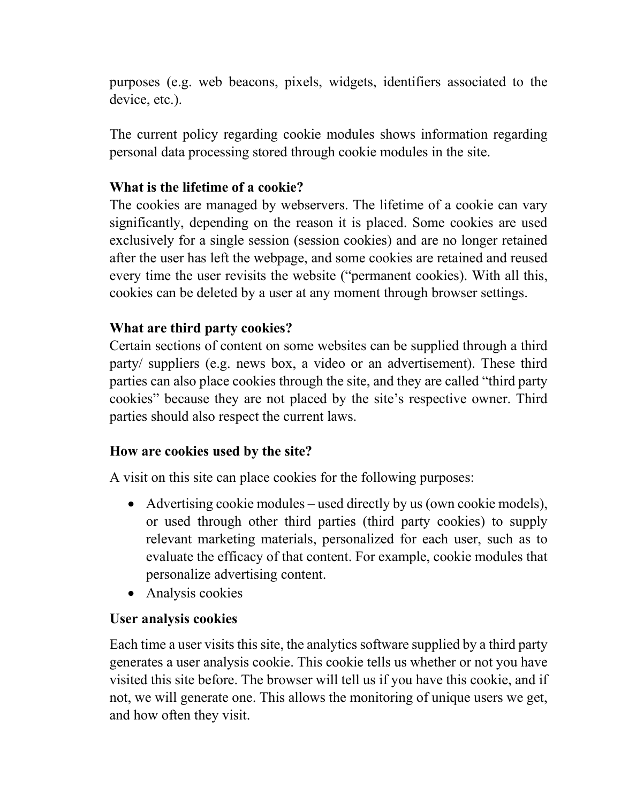purposes (e.g. web beacons, pixels, widgets, identifiers associated to the device, etc.).

The current policy regarding cookie modules shows information regarding personal data processing stored through cookie modules in the site.

#### **What is the lifetime of a cookie?**

The cookies are managed by webservers. The lifetime of a cookie can vary significantly, depending on the reason it is placed. Some cookies are used exclusively for a single session (session cookies) and are no longer retained after the user has left the webpage, and some cookies are retained and reused every time the user revisits the website ("permanent cookies). With all this, cookies can be deleted by a user at any moment through browser settings.

#### **What are third party cookies?**

Certain sections of content on some websites can be supplied through a third party/ suppliers (e.g. news box, a video or an advertisement). These third parties can also place cookies through the site, and they are called "third party cookies" because they are not placed by the site's respective owner. Third parties should also respect the current laws.

#### **How are cookies used by the site?**

A visit on this site can place cookies for the following purposes:

- Advertising cookie modules used directly by us (own cookie models), or used through other third parties (third party cookies) to supply relevant marketing materials, personalized for each user, such as to evaluate the efficacy of that content. For example, cookie modules that personalize advertising content.
- Analysis cookies

#### **User analysis cookies**

Each time a user visits this site, the analytics software supplied by a third party generates a user analysis cookie. This cookie tells us whether or not you have visited this site before. The browser will tell us if you have this cookie, and if not, we will generate one. This allows the monitoring of unique users we get, and how often they visit.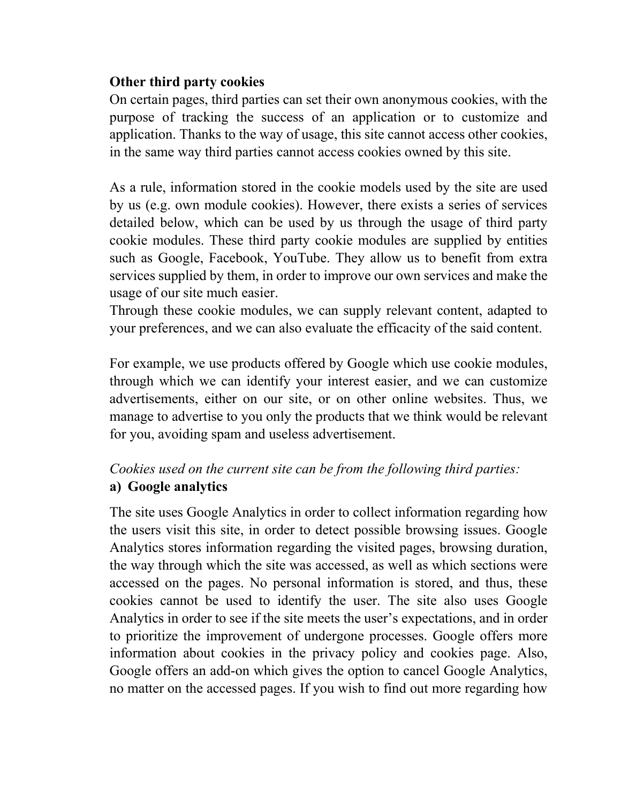#### **Other third party cookies**

On certain pages, third parties can set their own anonymous cookies, with the purpose of tracking the success of an application or to customize and application. Thanks to the way of usage, this site cannot access other cookies, in the same way third parties cannot access cookies owned by this site.

As a rule, information stored in the cookie models used by the site are used by us (e.g. own module cookies). However, there exists a series of services detailed below, which can be used by us through the usage of third party cookie modules. These third party cookie modules are supplied by entities such as Google, Facebook, YouTube. They allow us to benefit from extra services supplied by them, in order to improve our own services and make the usage of our site much easier.

Through these cookie modules, we can supply relevant content, adapted to your preferences, and we can also evaluate the efficacity of the said content.

For example, we use products offered by Google which use cookie modules, through which we can identify your interest easier, and we can customize advertisements, either on our site, or on other online websites. Thus, we manage to advertise to you only the products that we think would be relevant for you, avoiding spam and useless advertisement.

# *Cookies used on the current site can be from the following third parties:* **a) Google analytics**

The site uses Google Analytics in order to collect information regarding how the users visit this site, in order to detect possible browsing issues. Google Analytics stores information regarding the visited pages, browsing duration, the way through which the site was accessed, as well as which sections were accessed on the pages. No personal information is stored, and thus, these cookies cannot be used to identify the user. The site also uses Google Analytics in order to see if the site meets the user's expectations, and in order to prioritize the improvement of undergone processes. Google offers more information about cookies in the privacy policy and cookies page. Also, Google offers an add-on which gives the option to cancel Google Analytics, no matter on the accessed pages. If you wish to find out more regarding how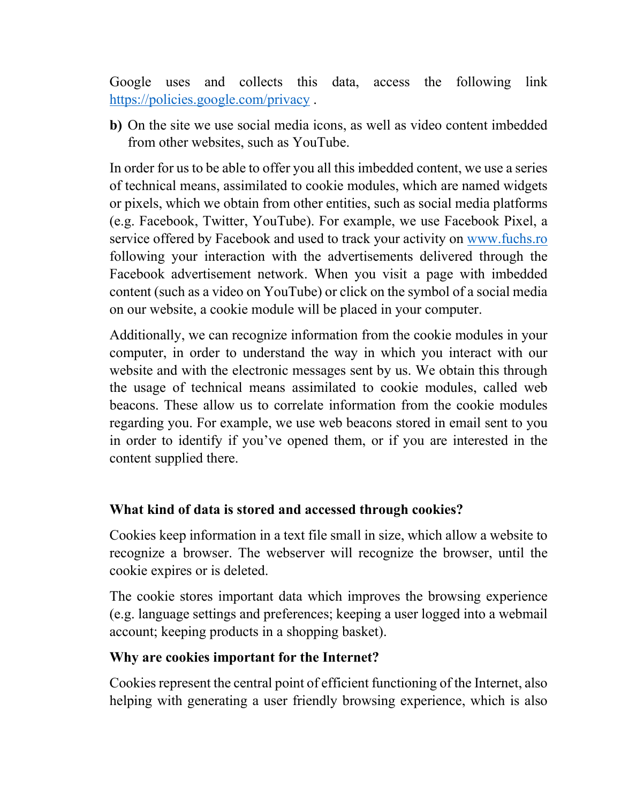Google uses and collects this data, access the following link <https://policies.google.com/privacy>.

**b)** On the site we use social media icons, as well as video content imbedded from other websites, such as YouTube.

In order for us to be able to offer you all this imbedded content, we use a series of technical means, assimilated to cookie modules, which are named widgets or pixels, which we obtain from other entities, such as social media platforms (e.g. Facebook, Twitter, YouTube). For example, we use Facebook Pixel, a service offered by Facebook and used to track your activity on [www.fuchs.ro](http://www.fuchs.ro/) following your interaction with the advertisements delivered through the Facebook advertisement network. When you visit a page with imbedded content (such as a video on YouTube) or click on the symbol of a social media on our website, a cookie module will be placed in your computer.

Additionally, we can recognize information from the cookie modules in your computer, in order to understand the way in which you interact with our website and with the electronic messages sent by us. We obtain this through the usage of technical means assimilated to cookie modules, called web beacons. These allow us to correlate information from the cookie modules regarding you. For example, we use web beacons stored in email sent to you in order to identify if you've opened them, or if you are interested in the content supplied there.

#### **What kind of data is stored and accessed through cookies?**

Cookies keep information in a text file small in size, which allow a website to recognize a browser. The webserver will recognize the browser, until the cookie expires or is deleted.

The cookie stores important data which improves the browsing experience (e.g. language settings and preferences; keeping a user logged into a webmail account; keeping products in a shopping basket).

#### **Why are cookies important for the Internet?**

Cookies represent the central point of efficient functioning of the Internet, also helping with generating a user friendly browsing experience, which is also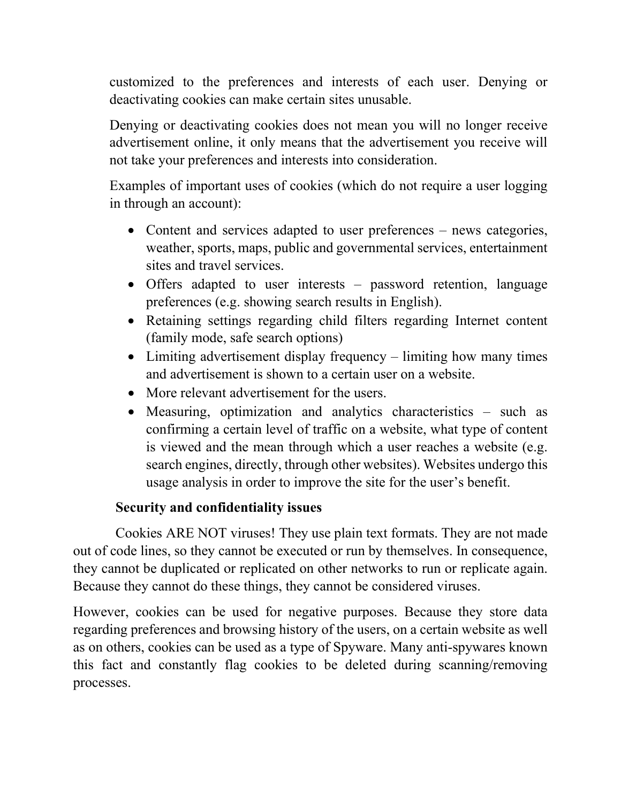customized to the preferences and interests of each user. Denying or deactivating cookies can make certain sites unusable.

Denying or deactivating cookies does not mean you will no longer receive advertisement online, it only means that the advertisement you receive will not take your preferences and interests into consideration.

Examples of important uses of cookies (which do not require a user logging in through an account):

- Content and services adapted to user preferences news categories, weather, sports, maps, public and governmental services, entertainment sites and travel services.
- Offers adapted to user interests password retention, language preferences (e.g. showing search results in English).
- Retaining settings regarding child filters regarding Internet content (family mode, safe search options)
- Limiting advertisement display frequency limiting how many times and advertisement is shown to a certain user on a website.
- More relevant advertisement for the users.
- Measuring, optimization and analytics characteristics such as confirming a certain level of traffic on a website, what type of content is viewed and the mean through which a user reaches a website (e.g. search engines, directly, through other websites). Websites undergo this usage analysis in order to improve the site for the user's benefit.

# **Security and confidentiality issues**

 Cookies ARE NOT viruses! They use plain text formats. They are not made out of code lines, so they cannot be executed or run by themselves. In consequence, they cannot be duplicated or replicated on other networks to run or replicate again. Because they cannot do these things, they cannot be considered viruses.

However, cookies can be used for negative purposes. Because they store data regarding preferences and browsing history of the users, on a certain website as well as on others, cookies can be used as a type of Spyware. Many anti-spywares known this fact and constantly flag cookies to be deleted during scanning/removing processes.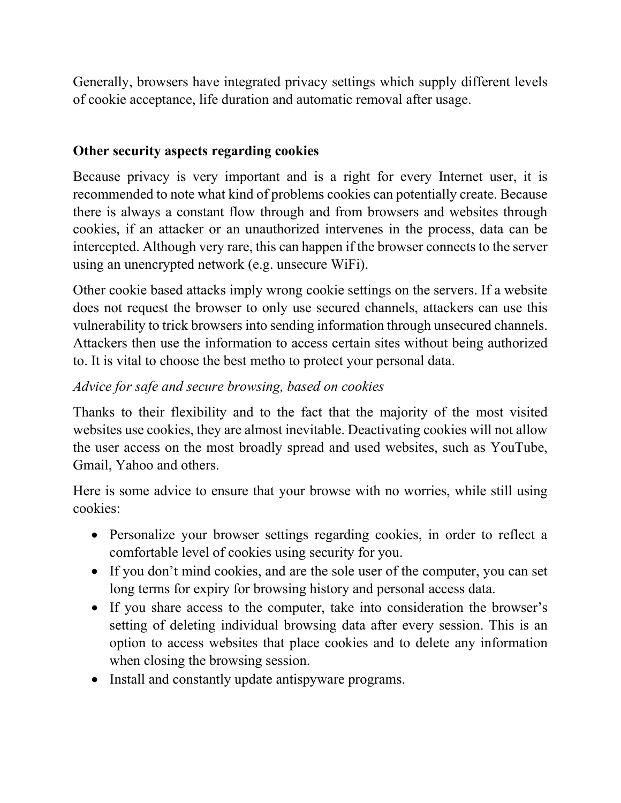Generally, browsers have integrated privacy settings which supply different levels of cookie acceptance, life duration and automatic removal after usage.

### **Other security aspects regarding cookies**

Because privacy is very important and is a right for every Internet user, it is recommended to note what kind of problems cookies can potentially create. Because there is always a constant flow through and from browsers and websites through cookies, if an attacker or an unauthorized intervenes in the process, data can be intercepted. Although very rare, this can happen if the browser connects to the server using an unencrypted network (e.g. unsecure WiFi).

Other cookie based attacks imply wrong cookie settings on the servers. If a website does not request the browser to only use secured channels, attackers can use this vulnerability to trick browsers into sending information through unsecured channels. Attackers then use the information to access certain sites without being authorized to. It is vital to choose the best metho to protect your personal data.

# *Advice for safe and secure browsing, based on cookies*

Thanks to their flexibility and to the fact that the majority of the most visited websites use cookies, they are almost inevitable. Deactivating cookies will not allow the user access on the most broadly spread and used websites, such as YouTube, Gmail, Yahoo and others.

Here is some advice to ensure that your browse with no worries, while still using cookies:

- Personalize your browser settings regarding cookies, in order to reflect a comfortable level of cookies using security for you.
- If you don't mind cookies, and are the sole user of the computer, you can set long terms for expiry for browsing history and personal access data.
- If you share access to the computer, take into consideration the browser's setting of deleting individual browsing data after every session. This is an option to access websites that place cookies and to delete any information when closing the browsing session.
- Install and constantly update antispyware programs.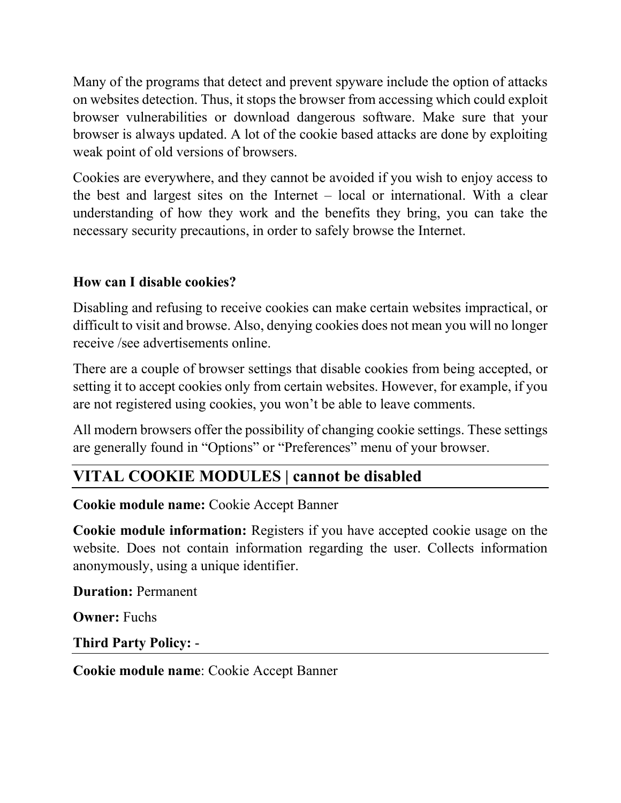Many of the programs that detect and prevent spyware include the option of attacks on websites detection. Thus, it stops the browser from accessing which could exploit browser vulnerabilities or download dangerous software. Make sure that your browser is always updated. A lot of the cookie based attacks are done by exploiting weak point of old versions of browsers.

Cookies are everywhere, and they cannot be avoided if you wish to enjoy access to the best and largest sites on the Internet – local or international. With a clear understanding of how they work and the benefits they bring, you can take the necessary security precautions, in order to safely browse the Internet.

# **How can I disable cookies?**

Disabling and refusing to receive cookies can make certain websites impractical, or difficult to visit and browse. Also, denying cookies does not mean you will no longer receive /see advertisements online.

There are a couple of browser settings that disable cookies from being accepted, or setting it to accept cookies only from certain websites. However, for example, if you are not registered using cookies, you won't be able to leave comments.

All modern browsers offer the possibility of changing cookie settings. These settings are generally found in "Options" or "Preferences" menu of your browser.

# **VITAL COOKIE MODULES | cannot be disabled**

**Cookie module name:** Cookie Accept Banner

**Cookie module information:** Registers if you have accepted cookie usage on the website. Does not contain information regarding the user. Collects information anonymously, using a unique identifier.

**Duration:** Permanent

**Owner:** Fuchs

**Third Party Policy:** -

**Cookie module name**: Cookie Accept Banner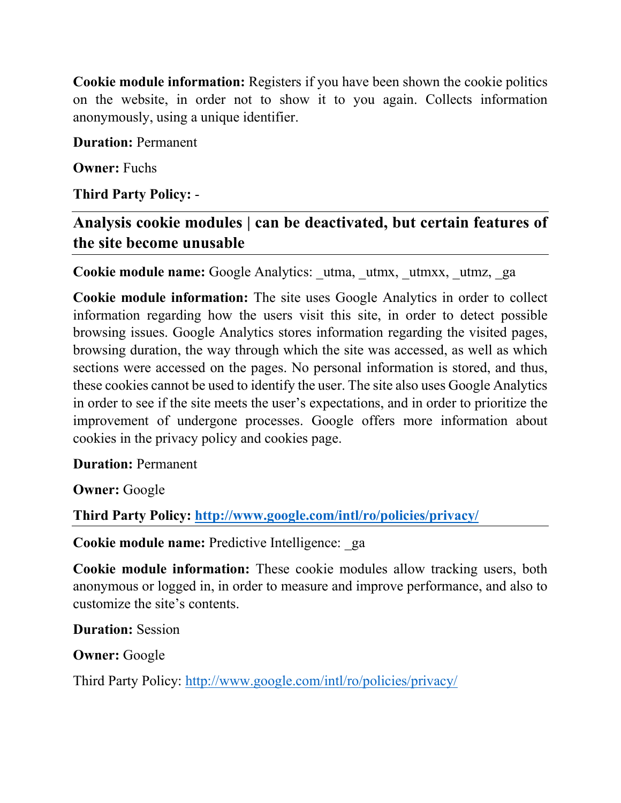**Cookie module information:** Registers if you have been shown the cookie politics on the website, in order not to show it to you again. Collects information anonymously, using a unique identifier.

**Duration:** Permanent

**Owner:** Fuchs

**Third Party Policy:** -

**Analysis cookie modules | can be deactivated, but certain features of the site become unusable**

**Cookie module name:** Google Analytics: utma, utmx, utmxx, utmz, ga

**Cookie module information:** The site uses Google Analytics in order to collect information regarding how the users visit this site, in order to detect possible browsing issues. Google Analytics stores information regarding the visited pages, browsing duration, the way through which the site was accessed, as well as which sections were accessed on the pages. No personal information is stored, and thus, these cookies cannot be used to identify the user. The site also uses Google Analytics in order to see if the site meets the user's expectations, and in order to prioritize the improvement of undergone processes. Google offers more information about cookies in the privacy policy and cookies page.

**Duration:** Permanent

**Owner:** Google

**Third Party Policy:<http://www.google.com/intl/ro/policies/privacy/>**

**Cookie module name:** Predictive Intelligence: ga

**Cookie module information:** These cookie modules allow tracking users, both anonymous or logged in, in order to measure and improve performance, and also to customize the site's contents.

**Duration:** Session

**Owner:** Google

Third Party Policy:<http://www.google.com/intl/ro/policies/privacy/>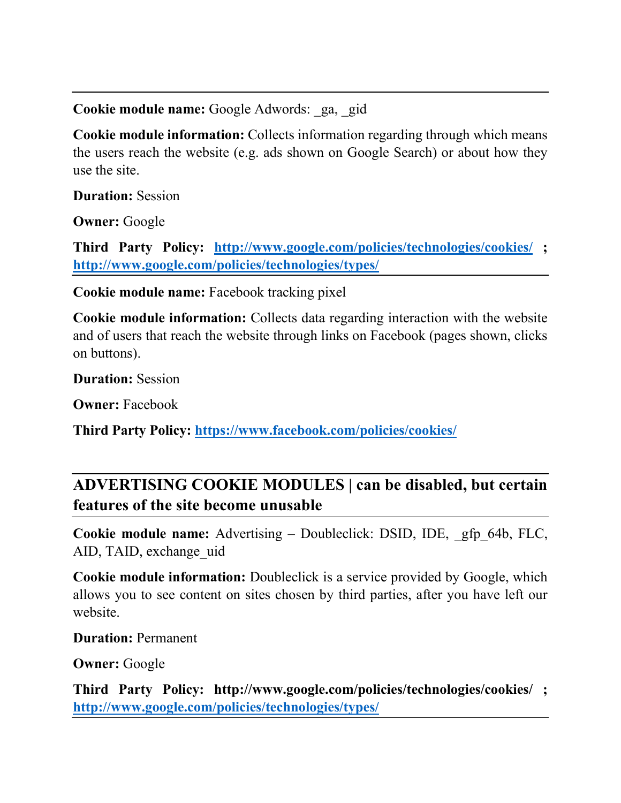**Cookie module name:** Google Adwords: \_ga, \_gid

**Cookie module information:** Collects information regarding through which means the users reach the website (e.g. ads shown on Google Search) or about how they use the site.

**Duration:** Session

**Owner:** Google

**Third Party Policy: <http://www.google.com/policies/technologies/cookies/> ; <http://www.google.com/policies/technologies/types/>**

**Cookie module name:** Facebook tracking pixel

**Cookie module information:** Collects data regarding interaction with the website and of users that reach the website through links on Facebook (pages shown, clicks on buttons).

**Duration:** Session

**Owner:** Facebook

**Third Party Policy:<https://www.facebook.com/policies/cookies/>**

# **ADVERTISING COOKIE MODULES | can be disabled, but certain features of the site become unusable**

**Cookie module name:** Advertising – Doubleclick: DSID, IDE, \_gfp\_64b, FLC, AID, TAID, exchange uid

**Cookie module information:** Doubleclick is a service provided by Google, which allows you to see content on sites chosen by third parties, after you have left our website.

**Duration:** Permanent

**Owner:** Google

**Third Party Policy: http://www.google.com/policies/technologies/cookies/ ; <http://www.google.com/policies/technologies/types/>**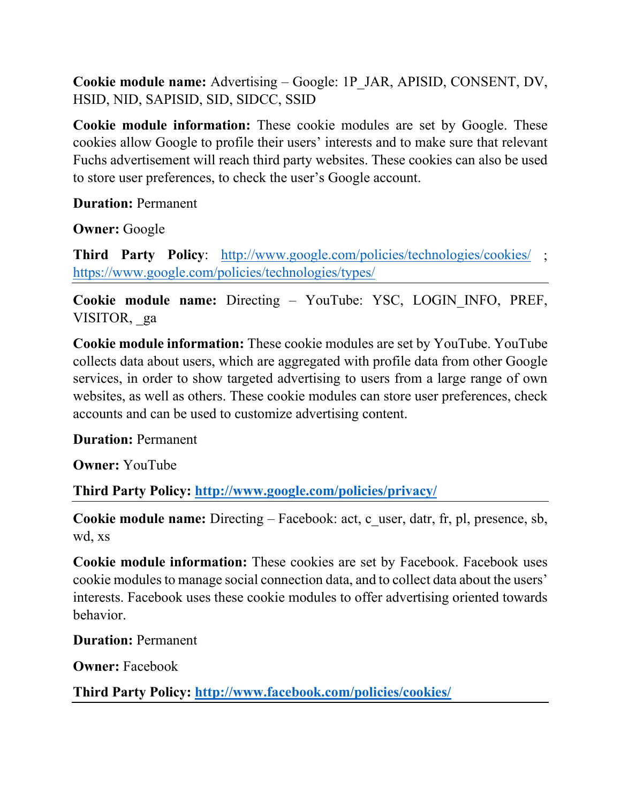**Cookie module name:** Advertising – Google: 1P\_JAR, APISID, CONSENT, DV, HSID, NID, SAPISID, SID, SIDCC, SSID

**Cookie module information:** These cookie modules are set by Google. These cookies allow Google to profile their users' interests and to make sure that relevant Fuchs advertisement will reach third party websites. These cookies can also be used to store user preferences, to check the user's Google account.

**Duration:** Permanent

**Owner:** Google

**Third Party Policy**: <http://www.google.com/policies/technologies/cookies/> ; <https://www.google.com/policies/technologies/types/>

**Cookie module name:** Directing – YouTube: YSC, LOGIN\_INFO, PREF, VISITOR, ga

**Cookie module information:** These cookie modules are set by YouTube. YouTube collects data about users, which are aggregated with profile data from other Google services, in order to show targeted advertising to users from a large range of own websites, as well as others. These cookie modules can store user preferences, check accounts and can be used to customize advertising content.

**Duration:** Permanent

**Owner:** YouTube

**Third Party Policy:<http://www.google.com/policies/privacy/>**

**Cookie module name:** Directing – Facebook: act, c\_user, datr, fr, pl, presence, sb, wd, xs

**Cookie module information:** These cookies are set by Facebook. Facebook uses cookie modules to manage social connection data, and to collect data about the users' interests. Facebook uses these cookie modules to offer advertising oriented towards behavior.

**Duration:** Permanent

**Owner: Facebook** 

**Third Party Policy:<http://www.facebook.com/policies/cookies/>**